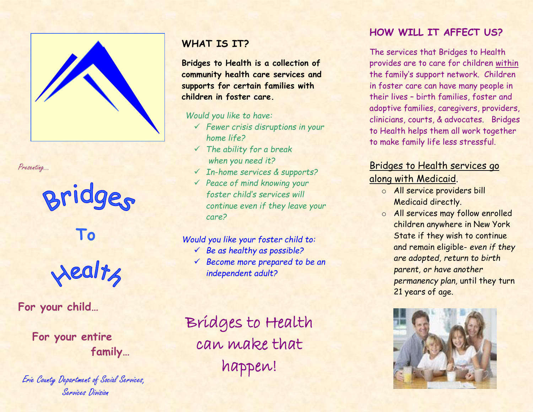

Presenting…

# Bridges

**To**



**For your child…**

 **For your entire family…**

Erie County Department of Social Services, Services Division

## **WHAT IS IT?**

**Bridges to Health is a collection of community health care services and supports for certain families with children in foster care.** 

*Would you like to have:*

- ✓ *Fewer crisis disruptions in your home life?*
- ✓ *The ability for a break when you need it?*
- ✓ *In-home services & supports?*
- ✓ *Peace of mind knowing your foster child's services will continue even if they leave your care?*

#### *Would you like your foster child to:*

- ✓ *Be as healthy as possible?*
- ✓ *Become more prepared to be an independent adult?*

Bridges to Health can make that happen!

## **HOW WILL IT AFFECT US?**

The services that Bridges to Health provides are to care for children within the family's support network. Children in foster care can have many people in their lives – birth families, foster and adoptive families, caregivers, providers, clinicians, courts, & advocates. Bridges to Health helps them all work together to make family life less stressful.

## Bridges to Health services go

along with Medicaid.

- o All service providers bill Medicaid directly.
- o All services may follow enrolled children anywhere in New York State if they wish to continue and remain eligible- *even if they are adopted, return to birth parent, or have another permanency plan,* until they turn 21 years of age.